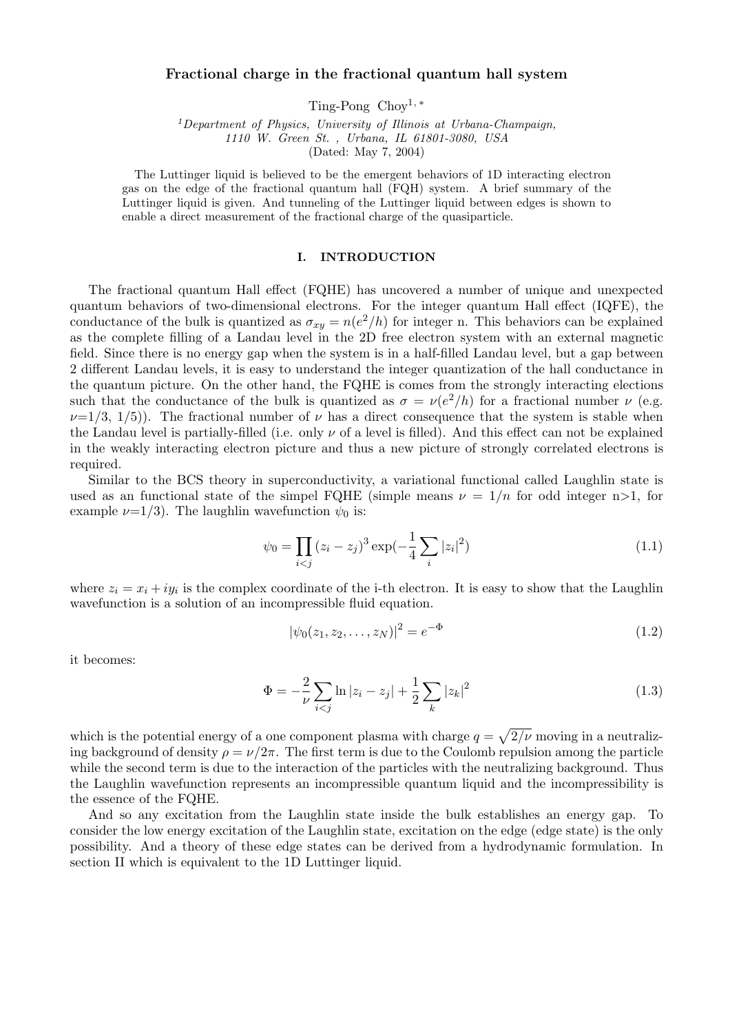# Fractional charge in the fractional quantum hall system

Ting-Pong  $Chov<sup>1,*</sup>$ 

<sup>1</sup>Department of Physics, University of Illinois at Urbana-Champaign, 1110 W. Green St. , Urbana, IL 61801-3080, USA (Dated: May 7, 2004)

The Luttinger liquid is believed to be the emergent behaviors of 1D interacting electron gas on the edge of the fractional quantum hall (FQH) system. A brief summary of the Luttinger liquid is given. And tunneling of the Luttinger liquid between edges is shown to enable a direct measurement of the fractional charge of the quasiparticle.

### I. INTRODUCTION

The fractional quantum Hall effect (FQHE) has uncovered a number of unique and unexpected quantum behaviors of two-dimensional electrons. For the integer quantum Hall effect (IQFE), the conductance of the bulk is quantized as  $\sigma_{xy} = n(e^2/h)$  for integer n. This behaviors can be explained as the complete filling of a Landau level in the 2D free electron system with an external magnetic field. Since there is no energy gap when the system is in a half-filled Landau level, but a gap between 2 different Landau levels, it is easy to understand the integer quantization of the hall conductance in the quantum picture. On the other hand, the FQHE is comes from the strongly interacting elections such that the conductance of the bulk is quantized as  $\sigma = \nu(e^2/h)$  for a fractional number  $\nu$  (e.g.  $\nu=1/3$ ,  $1/5$ ). The fractional number of  $\nu$  has a direct consequence that the system is stable when the Landau level is partially-filled (i.e. only  $\nu$  of a level is filled). And this effect can not be explained in the weakly interacting electron picture and thus a new picture of strongly correlated electrons is required.

Similar to the BCS theory in superconductivity, a variational functional called Laughlin state is used as an functional state of the simpel FQHE (simple means  $\nu = 1/n$  for odd integer n>1, for example  $\nu=1/3$ ). The laughlin wavefunction  $\psi_0$  is:

$$
\psi_0 = \prod_{i < j} (z_i - z_j)^3 \exp\left(-\frac{1}{4} \sum_i |z_i|^2\right) \tag{1.1}
$$

where  $z_i = x_i + iy_i$  is the complex coordinate of the i-th electron. It is easy to show that the Laughlin wavefunction is a solution of an incompressible fluid equation.

$$
|\psi_0(z_1, z_2, \dots, z_N)|^2 = e^{-\Phi}
$$
\n(1.2)

it becomes:

$$
\Phi = -\frac{2}{\nu} \sum_{i < j} \ln|z_i - z_j| + \frac{1}{2} \sum_k |z_k|^2 \tag{1.3}
$$

which is the potential energy of a one component plasma with charge  $q =$  $\mathcal{L}$  $2/\nu$  moving in a neutralizing background of density  $\rho = \nu/2\pi$ . The first term is due to the Coulomb repulsion among the particle while the second term is due to the interaction of the particles with the neutralizing background. Thus the Laughlin wavefunction represents an incompressible quantum liquid and the incompressibility is the essence of the FQHE.

And so any excitation from the Laughlin state inside the bulk establishes an energy gap. To consider the low energy excitation of the Laughlin state, excitation on the edge (edge state) is the only possibility. And a theory of these edge states can be derived from a hydrodynamic formulation. In section II which is equivalent to the 1D Luttinger liquid.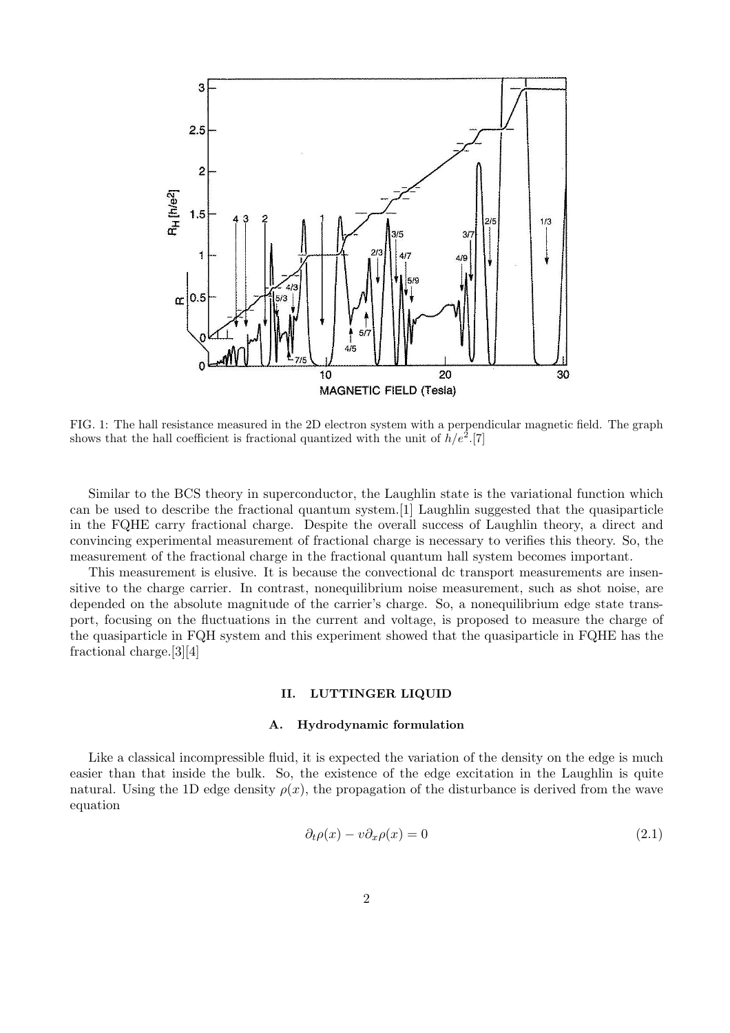

FIG. 1: The hall resistance measured in the 2D electron system with a perpendicular magnetic field. The graph shows that the hall coefficient is fractional quantized with the unit of  $h/e^2$ .[7]

Similar to the BCS theory in superconductor, the Laughlin state is the variational function which can be used to describe the fractional quantum system.[1] Laughlin suggested that the quasiparticle in the FQHE carry fractional charge. Despite the overall success of Laughlin theory, a direct and convincing experimental measurement of fractional charge is necessary to verifies this theory. So, the measurement of the fractional charge in the fractional quantum hall system becomes important.

This measurement is elusive. It is because the convectional dc transport measurements are insensitive to the charge carrier. In contrast, nonequilibrium noise measurement, such as shot noise, are depended on the absolute magnitude of the carrier's charge. So, a nonequilibrium edge state transport, focusing on the fluctuations in the current and voltage, is proposed to measure the charge of the quasiparticle in FQH system and this experiment showed that the quasiparticle in FQHE has the fractional charge.[3][4]

## II. LUTTINGER LIQUID

#### A. Hydrodynamic formulation

Like a classical incompressible fluid, it is expected the variation of the density on the edge is much easier than that inside the bulk. So, the existence of the edge excitation in the Laughlin is quite natural. Using the 1D edge density  $\rho(x)$ , the propagation of the disturbance is derived from the wave equation

$$
\partial_t \rho(x) - v \partial_x \rho(x) = 0 \tag{2.1}
$$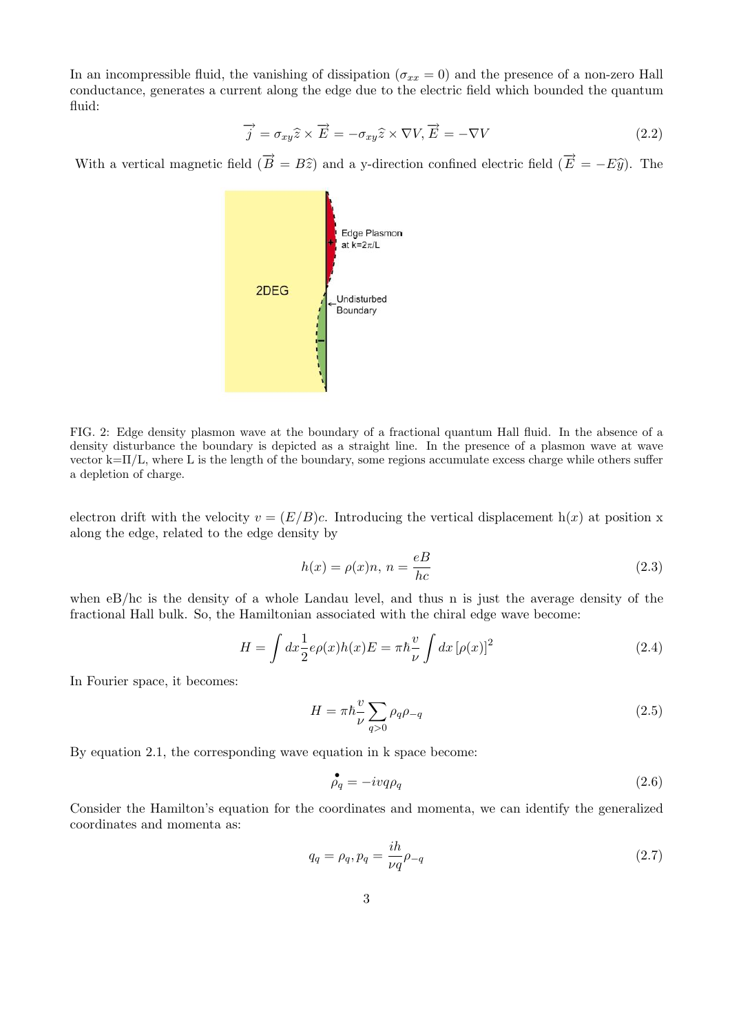In an incompressible fluid, the vanishing of dissipation ( $\sigma_{xx} = 0$ ) and the presence of a non-zero Hall conductance, generates a current along the edge due to the electric field which bounded the quantum fluid:

$$
\overrightarrow{j} = \sigma_{xy}\hat{z} \times \overrightarrow{E} = -\sigma_{xy}\hat{z} \times \nabla V, \overrightarrow{E} = -\nabla V
$$
\n(2.2)

With a vertical magnetic field  $(\vec{B} = B\hat{z})$  and a y-direction confined electric field  $(\vec{E} = -E\hat{y})$ . The



FIG. 2: Edge density plasmon wave at the boundary of a fractional quantum Hall fluid. In the absence of a density disturbance the boundary is depicted as a straight line. In the presence of a plasmon wave at wave vector  $k=\Pi/L$ , where L is the length of the boundary, some regions accumulate excess charge while others suffer a depletion of charge.

electron drift with the velocity  $v = (E/B)c$ . Introducing the vertical displacement  $h(x)$  at position x along the edge, related to the edge density by

$$
h(x) = \rho(x)n, n = \frac{eB}{hc}
$$
\n(2.3)

when eB/hc is the density of a whole Landau level, and thus n is just the average density of the fractional Hall bulk. So, the Hamiltonian associated with the chiral edge wave become:

$$
H = \int dx \frac{1}{2} e\rho(x)h(x)E = \pi \hbar \frac{v}{\nu} \int dx \left[\rho(x)\right]^2 \tag{2.4}
$$

In Fourier space, it becomes:

$$
H = \pi \hbar \frac{v}{\nu} \sum_{q>0} \rho_q \rho_{-q} \tag{2.5}
$$

By equation 2.1, the corresponding wave equation in k space become:

$$
\stackrel{\bullet}{\rho_q} = -ivq\rho_q \tag{2.6}
$$

Consider the Hamilton's equation for the coordinates and momenta, we can identify the generalized coordinates and momenta as:

$$
q_q = \rho_q, p_q = \frac{ih}{\nu q} \rho_{-q} \tag{2.7}
$$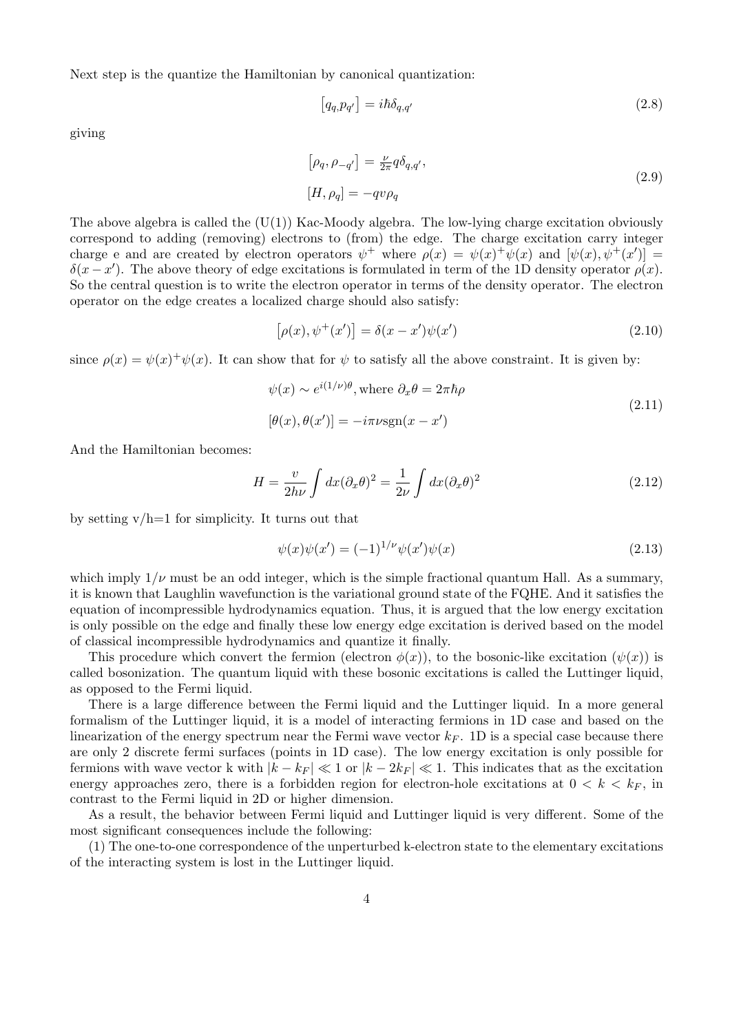Next step is the quantize the Hamiltonian by canonical quantization:

$$
[q_q, p_{q'}] = i\hbar \delta_{q,q'} \tag{2.8}
$$

giving

$$
[\rho_q, \rho_{-q'}] = \frac{\nu}{2\pi} q \delta_{q,q'},
$$
  

$$
[H, \rho_q] = -qv\rho_q
$$
 (2.9)

The above algebra is called the  $(U(1))$  Kac-Moody algebra. The low-lying charge excitation obviously correspond to adding (removing) electrons to (from) the edge. The charge excitation carry integer charge e and are created by electron operators  $\psi^+$  where  $\rho(x) = \psi(x)^+ \psi(x)$  and  $[\psi(x), \psi^+(x')] =$  $\delta(x-x')$ . The above theory of edge excitations is formulated in term of the 1D density operator  $\rho(x)$ . So the central question is to write the electron operator in terms of the density operator. The electron operator on the edge creates a localized charge should also satisfy:

$$
[\rho(x), \psi^+(x')] = \delta(x - x')\psi(x')
$$
\n(2.10)

since  $\rho(x) = \psi(x)^{+} \psi(x)$ . It can show that for  $\psi$  to satisfy all the above constraint. It is given by:

$$
\psi(x) \sim e^{i(1/\nu)\theta}, \text{where } \partial_x \theta = 2\pi \hbar \rho
$$
  

$$
[\theta(x), \theta(x')] = -i\pi \nu \text{sgn}(x - x')
$$
 (2.11)

And the Hamiltonian becomes:

$$
H = \frac{v}{2h\nu} \int dx (\partial_x \theta)^2 = \frac{1}{2\nu} \int dx (\partial_x \theta)^2
$$
 (2.12)

by setting  $v/h=1$  for simplicity. It turns out that

$$
\psi(x)\psi(x') = (-1)^{1/\nu}\psi(x')\psi(x)
$$
\n(2.13)

which imply  $1/\nu$  must be an odd integer, which is the simple fractional quantum Hall. As a summary, it is known that Laughlin wavefunction is the variational ground state of the FQHE. And it satisfies the equation of incompressible hydrodynamics equation. Thus, it is argued that the low energy excitation is only possible on the edge and finally these low energy edge excitation is derived based on the model of classical incompressible hydrodynamics and quantize it finally.

This procedure which convert the fermion (electron  $\phi(x)$ ), to the bosonic-like excitation  $(\psi(x))$  is called bosonization. The quantum liquid with these bosonic excitations is called the Luttinger liquid, as opposed to the Fermi liquid.

There is a large difference between the Fermi liquid and the Luttinger liquid. In a more general formalism of the Luttinger liquid, it is a model of interacting fermions in 1D case and based on the linearization of the energy spectrum near the Fermi wave vector  $k_F$ . 1D is a special case because there are only 2 discrete fermi surfaces (points in 1D case). The low energy excitation is only possible for fermions with wave vector k with  $|k - k_F| \ll 1$  or  $|k - 2k_F| \ll 1$ . This indicates that as the excitation energy approaches zero, there is a forbidden region for electron-hole excitations at  $0 < k < k_F$ , in contrast to the Fermi liquid in 2D or higher dimension.

As a result, the behavior between Fermi liquid and Luttinger liquid is very different. Some of the most significant consequences include the following:

(1) The one-to-one correspondence of the unperturbed k-electron state to the elementary excitations of the interacting system is lost in the Luttinger liquid.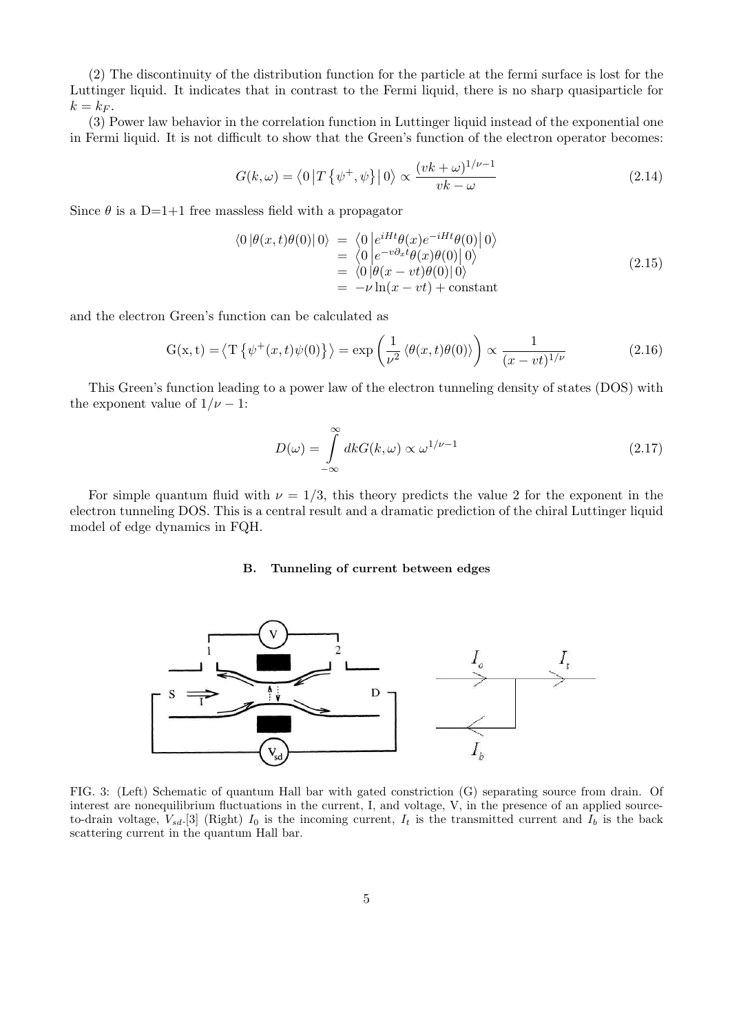(2) The discontinuity of the distribution function for the particle at the fermi surface is lost for the Luttinger liquid. It indicates that in contrast to the Fermi liquid, there is no sharp quasiparticle for  $k = k_F$ .

(3) Power law behavior in the correlation function in Luttinger liquid instead of the exponential one in Fermi liquid. It is not difficult to show that the Green's function of the electron operator becomes:

$$
G(k,\omega) = \langle 0|T\left\{\psi^+, \psi\right\} |0\rangle \propto \frac{(vk+\omega)^{1/\nu-1}}{vk-\omega}
$$
\n(2.14)

Since  $\theta$  is a D=1+1 free massless field with a propagator

$$
\langle 0 | \theta(x, t) \theta(0) | 0 \rangle = \langle 0 | e^{iHt} \theta(x) e^{-iHt} \theta(0) | 0 \rangle
$$
  
\n
$$
= \langle 0 | e^{-v\partial_x t} \theta(x) \theta(0) | 0 \rangle
$$
  
\n
$$
= \langle 0 | \theta(x - vt) \theta(0) | 0 \rangle
$$
  
\n
$$
= -\nu \ln(x - vt) + \text{constant}
$$
\n(2.15)

and the electron Green's function can be calculated as

$$
G(x,t) = \langle T\left\{\psi^+(x,t)\psi(0)\right\}\rangle = \exp\left(\frac{1}{\nu^2}\left\langle\theta(x,t)\theta(0)\right\rangle\right) \propto \frac{1}{(x-vt)^{1/\nu}}
$$
(2.16)

This Green's function leading to a power law of the electron tunneling density of states (DOS) with the exponent value of  $1/\nu - 1$ :

$$
D(\omega) = \int_{-\infty}^{\infty} dk G(k, \omega) \propto \omega^{1/\nu - 1}
$$
\n(2.17)

For simple quantum fluid with  $\nu = 1/3$ , this theory predicts the value 2 for the exponent in the electron tunneling DOS. This is a central result and a dramatic prediction of the chiral Luttinger liquid model of edge dynamics in FQH.

# B. Tunneling of current between edges



FIG. 3: (Left) Schematic of quantum Hall bar with gated constriction (G) separating source from drain. Of interest are nonequilibrium fluctuations in the current, I, and voltage, V, in the presence of an applied sourceto-drain voltage,  $V_{sd}$ .[3] (Right)  $I_0$  is the incoming current,  $I_t$  is the transmitted current and  $I_b$  is the back scattering current in the quantum Hall bar.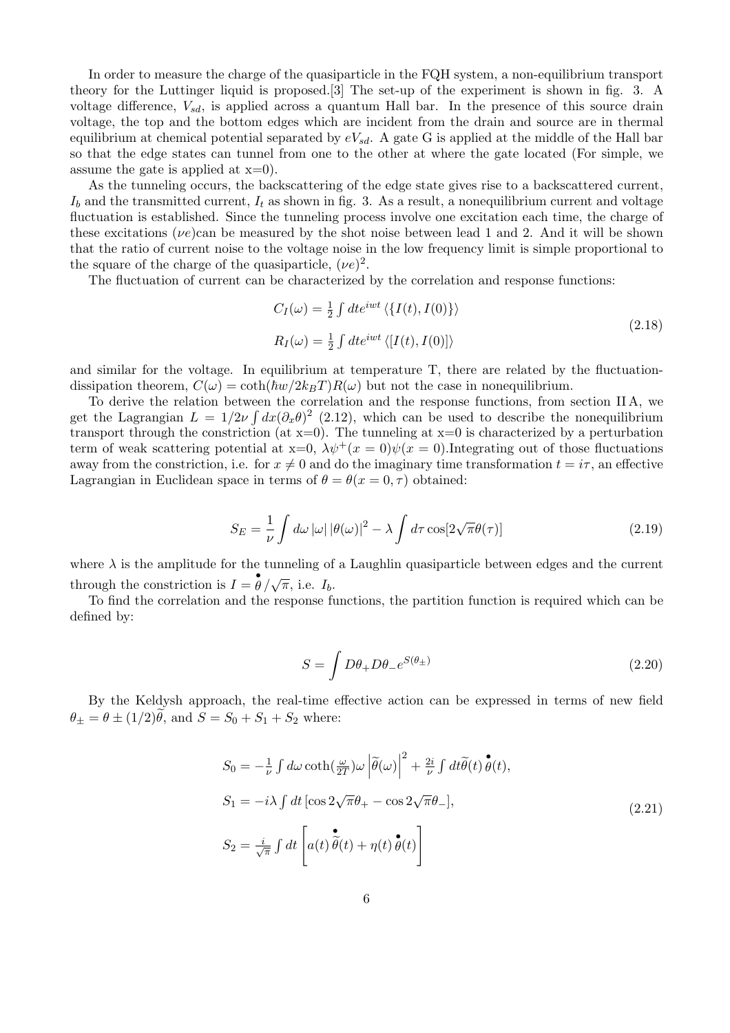In order to measure the charge of the quasiparticle in the FQH system, a non-equilibrium transport theory for the Luttinger liquid is proposed.[3] The set-up of the experiment is shown in fig. 3. A voltage difference,  $V_{sd}$ , is applied across a quantum Hall bar. In the presence of this source drain voltage, the top and the bottom edges which are incident from the drain and source are in thermal equilibrium at chemical potential separated by  $eV_{sd}$ . A gate G is applied at the middle of the Hall bar so that the edge states can tunnel from one to the other at where the gate located (For simple, we assume the gate is applied at  $x=0$ .

As the tunneling occurs, the backscattering of the edge state gives rise to a backscattered current,  $I<sub>b</sub>$  and the transmitted current,  $I<sub>t</sub>$  as shown in fig. 3. As a result, a nonequilibrium current and voltage fluctuation is established. Since the tunneling process involve one excitation each time, the charge of these excitations ( $\nu e$ )can be measured by the shot noise between lead 1 and 2. And it will be shown that the ratio of current noise to the voltage noise in the low frequency limit is simple proportional to the square of the charge of the quasiparticle,  $(\nu e)^2$ .

The fluctuation of current can be characterized by the correlation and response functions:

$$
C_I(\omega) = \frac{1}{2} \int dt e^{iwt} \langle \{I(t), I(0)\}\rangle
$$
  
\n
$$
R_I(\omega) = \frac{1}{2} \int dt e^{iwt} \langle [I(t), I(0)]\rangle
$$
\n(2.18)

and similar for the voltage. In equilibrium at temperature T, there are related by the fluctuationdissipation theorem,  $C(\omega) = \coth(\hbar w/2k_BT)R(\omega)$  but not the case in nonequilibrium.

To derive the relation between the correlation and the response functions, from section IIA, we get the Lagrangian  $L = 1/2\nu \int dx (\partial_x \theta)^2$  (2.12), which can be used to describe the nonequilibrium transport through the constriction (at  $x=0$ ). The tunneling at  $x=0$  is characterized by a perturbation term of weak scattering potential at  $x=0$ ,  $\lambda \psi^{+}(x=0)\psi(x=0)$ . Integrating out of those fluctuations away from the constriction, i.e. for  $x \neq 0$  and do the imaginary time transformation  $t = i\tau$ , an effective Lagrangian in Euclidean space in terms of  $\theta = \theta(x = 0, \tau)$  obtained:

$$
S_E = \frac{1}{\nu} \int d\omega \left| \omega \right| \left| \theta(\omega) \right|^2 - \lambda \int d\tau \cos[2\sqrt{\pi}\theta(\tau)] \tag{2.19}
$$

where  $\lambda$  is the amplitude for the tunneling of a Laughlin quasiparticle between edges and the current through the constriction is  $I = \frac{\partial}{\partial} / \sqrt{\pi}$ , i.e.  $I_b$ .

To find the correlation and the response functions, the partition function is required which can be defined by:

$$
S = \int D\theta_+ D\theta_- e^{S(\theta_\pm)} \tag{2.20}
$$

By the Keldysh approach, the real-time effective action can be expressed in terms of new field  $\theta_{+} = \theta \pm (1/2)\theta$ , and  $S = S_0 + S_1 + S_2$  where:

$$
S_0 = -\frac{1}{\nu} \int d\omega \coth\left(\frac{\omega}{2T}\right) \omega \left|\tilde{\theta}(\omega)\right|^2 + \frac{2i}{\nu} \int dt \tilde{\theta}(t) \tilde{\theta}(t),
$$
  
\n
$$
S_1 = -i\lambda \int dt \left[\cos 2\sqrt{\pi}\theta_+ - \cos 2\sqrt{\pi}\theta_-\right],
$$
  
\n
$$
S_2 = \frac{i}{\sqrt{\pi}} \int dt \left[a(t)\tilde{\theta}(t) + \eta(t)\tilde{\theta}(t)\right]
$$
\n(2.21)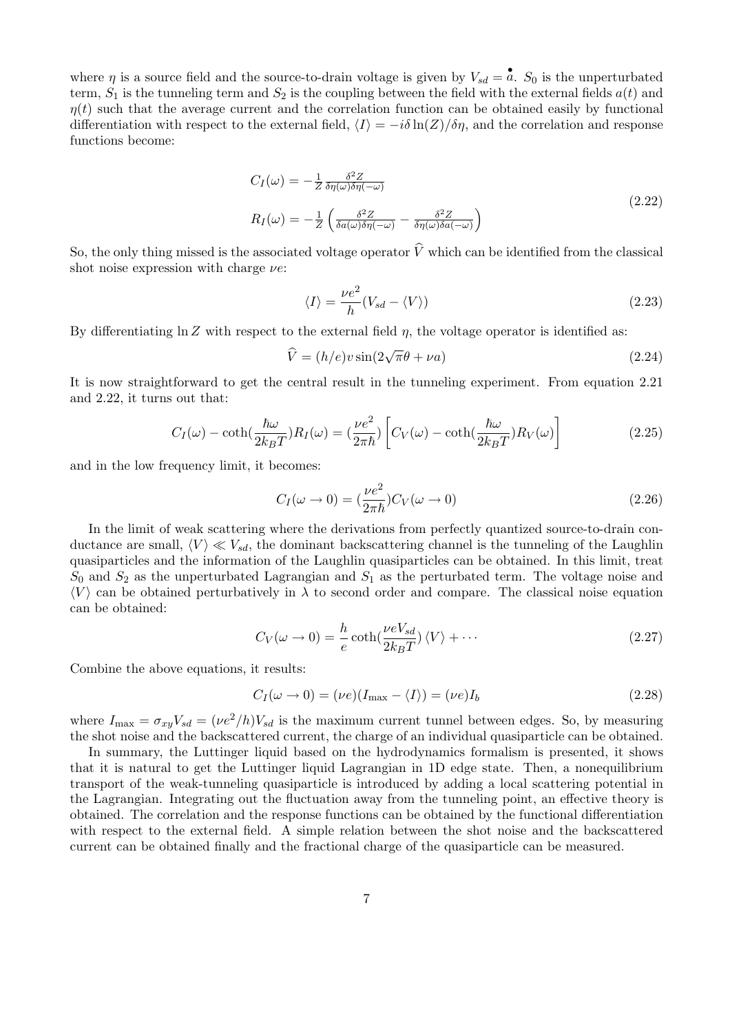where  $\eta$  is a source field and the source-to-drain voltage is given by  $V_{sd} = \hat{a}$ .  $S_0$  is the unperturbated term,  $S_1$  is the tunneling term and  $S_2$  is the coupling between the field with the external fields  $a(t)$  and  $\eta(t)$  such that the average current and the correlation function can be obtained easily by functional differentiation with respect to the external field,  $\langle I \rangle = -i\delta \ln(Z)/\delta\eta$ , and the correlation and response functions become:

$$
C_I(\omega) = -\frac{1}{Z} \frac{\delta^2 Z}{\delta \eta(\omega)\delta \eta(-\omega)}
$$
  
\n
$$
R_I(\omega) = -\frac{1}{Z} \left( \frac{\delta^2 Z}{\delta a(\omega)\delta \eta(-\omega)} - \frac{\delta^2 Z}{\delta \eta(\omega)\delta a(-\omega)} \right)
$$
\n(2.22)

So, the only thing missed is the associated voltage operator  $\hat{V}$  which can be identified from the classical shot noise expression with charge  $\nu e$ :

$$
\langle I \rangle = \frac{\nu e^2}{h} (V_{sd} - \langle V \rangle)
$$
\n(2.23)

By differentiating  $\ln Z$  with respect to the external field  $\eta$ , the voltage operator is identified as:

$$
\widehat{V} = (h/e)v\sin(2\sqrt{\pi}\theta + \nu a)
$$
\n(2.24)

It is now straightforward to get the central result in the tunneling experiment. From equation 2.21 and 2.22, it turns out that:

$$
C_I(\omega) - \coth(\frac{\hbar\omega}{2k_BT})R_I(\omega) = \left(\frac{\nu e^2}{2\pi\hbar}\right) \left[C_V(\omega) - \coth(\frac{\hbar\omega}{2k_BT})R_V(\omega)\right]
$$
(2.25)

and in the low frequency limit, it becomes:

$$
C_I(\omega \to 0) = \left(\frac{\nu e^2}{2\pi\hbar}\right) C_V(\omega \to 0) \tag{2.26}
$$

In the limit of weak scattering where the derivations from perfectly quantized source-to-drain conductance are small,  $\langle V \rangle \ll V_{sd}$ , the dominant backscattering channel is the tunneling of the Laughlin quasiparticles and the information of the Laughlin quasiparticles can be obtained. In this limit, treat  $S_0$  and  $S_2$  as the unperturbated Lagrangian and  $S_1$  as the perturbated term. The voltage noise and  $\langle V \rangle$  can be obtained perturbatively in  $\lambda$  to second order and compare. The classical noise equation can be obtained:

$$
C_V(\omega \to 0) = -\frac{h}{e} \coth(\frac{\nu eV_{sd}}{2k_BT}) \langle V \rangle + \cdots
$$
 (2.27)

Combine the above equations, it results:

$$
C_I(\omega \to 0) = (\nu e)(I_{\text{max}} - \langle I \rangle) = (\nu e)I_b \tag{2.28}
$$

where  $I_{\text{max}} = \sigma_{xy} V_{sd} = (\nu e^2/h)V_{sd}$  is the maximum current tunnel between edges. So, by measuring the shot noise and the backscattered current, the charge of an individual quasiparticle can be obtained.

In summary, the Luttinger liquid based on the hydrodynamics formalism is presented, it shows that it is natural to get the Luttinger liquid Lagrangian in 1D edge state. Then, a nonequilibrium transport of the weak-tunneling quasiparticle is introduced by adding a local scattering potential in the Lagrangian. Integrating out the fluctuation away from the tunneling point, an effective theory is obtained. The correlation and the response functions can be obtained by the functional differentiation with respect to the external field. A simple relation between the shot noise and the backscattered current can be obtained finally and the fractional charge of the quasiparticle can be measured.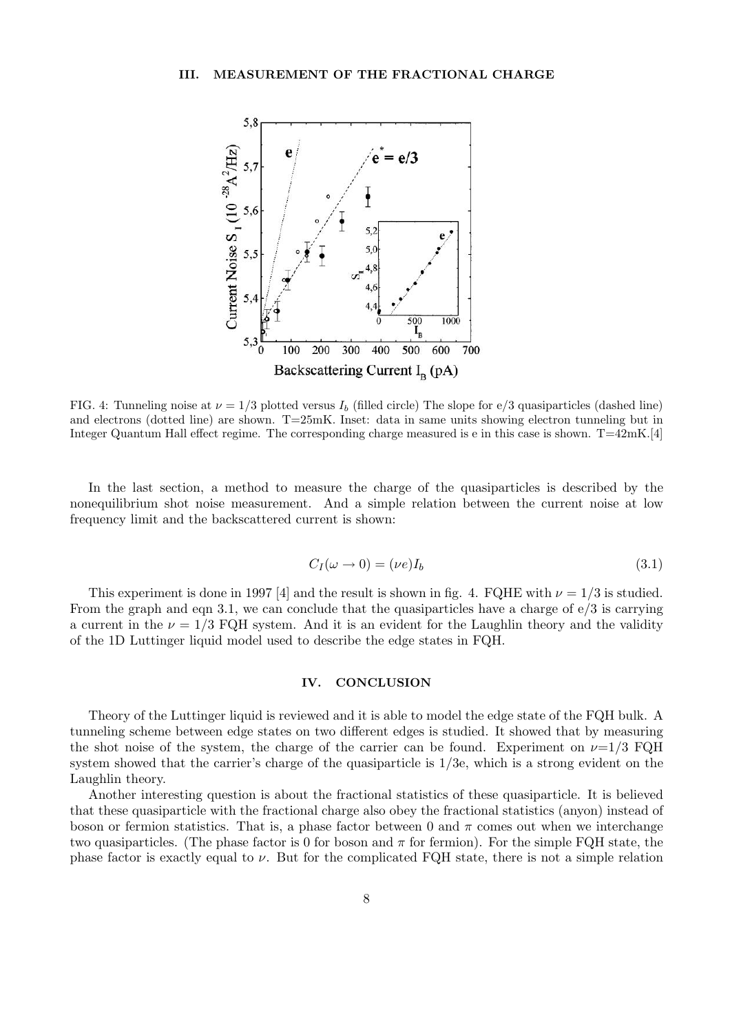

FIG. 4: Tunneling noise at  $\nu = 1/3$  plotted versus  $I<sub>b</sub>$  (filled circle) The slope for e/3 quasiparticles (dashed line) and electrons (dotted line) are shown. T=25mK. Inset: data in same units showing electron tunneling but in Integer Quantum Hall effect regime. The corresponding charge measured is e in this case is shown. T=42mK.[4]

In the last section, a method to measure the charge of the quasiparticles is described by the nonequilibrium shot noise measurement. And a simple relation between the current noise at low frequency limit and the backscattered current is shown:

$$
C_I(\omega \to 0) = (\nu e)I_b \tag{3.1}
$$

This experiment is done in 1997 [4] and the result is shown in fig. 4. FQHE with  $\nu = 1/3$  is studied. From the graph and eqn 3.1, we can conclude that the quasiparticles have a charge of  $\epsilon/3$  is carrying a current in the  $\nu = 1/3$  FQH system. And it is an evident for the Laughlin theory and the validity of the 1D Luttinger liquid model used to describe the edge states in FQH.

## IV. CONCLUSION

Theory of the Luttinger liquid is reviewed and it is able to model the edge state of the FQH bulk. A tunneling scheme between edge states on two different edges is studied. It showed that by measuring the shot noise of the system, the charge of the carrier can be found. Experiment on  $\nu=1/3$  FQH system showed that the carrier's charge of the quasiparticle is 1/3e, which is a strong evident on the Laughlin theory.

Another interesting question is about the fractional statistics of these quasiparticle. It is believed that these quasiparticle with the fractional charge also obey the fractional statistics (anyon) instead of boson or fermion statistics. That is, a phase factor between 0 and  $\pi$  comes out when we interchange two quasiparticles. (The phase factor is 0 for boson and  $\pi$  for fermion). For the simple FQH state, the phase factor is exactly equal to  $\nu$ . But for the complicated FQH state, there is not a simple relation